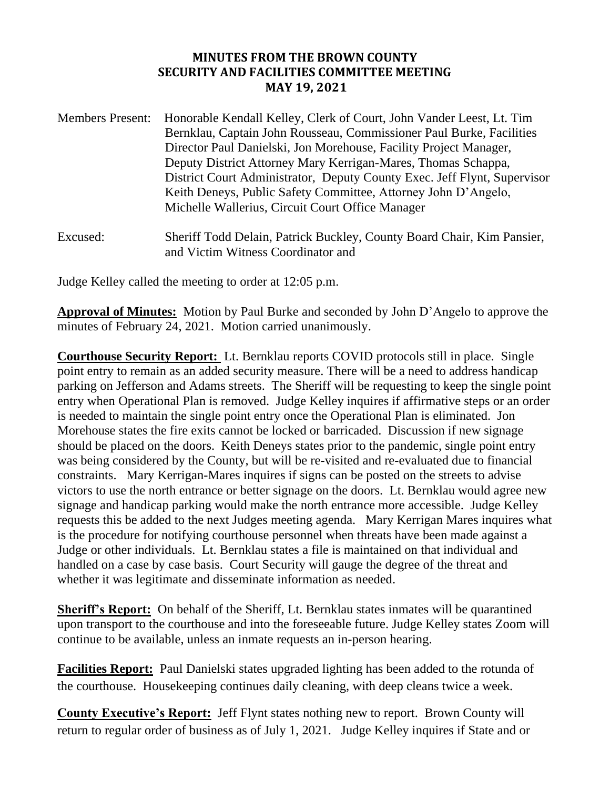## **MINUTES FROM THE BROWN COUNTY SECURITY AND FACILITIES COMMITTEE MEETING MAY 19, 2021**

| <b>Members Present:</b> | Honorable Kendall Kelley, Clerk of Court, John Vander Leest, Lt. Tim<br>Bernklau, Captain John Rousseau, Commissioner Paul Burke, Facilities<br>Director Paul Danielski, Jon Morehouse, Facility Project Manager,<br>Deputy District Attorney Mary Kerrigan-Mares, Thomas Schappa,<br>District Court Administrator, Deputy County Exec. Jeff Flynt, Supervisor<br>Keith Deneys, Public Safety Committee, Attorney John D'Angelo,<br>Michelle Wallerius, Circuit Court Office Manager |
|-------------------------|--------------------------------------------------------------------------------------------------------------------------------------------------------------------------------------------------------------------------------------------------------------------------------------------------------------------------------------------------------------------------------------------------------------------------------------------------------------------------------------|
| Excused:                | Sheriff Todd Delain, Patrick Buckley, County Board Chair, Kim Pansier,                                                                                                                                                                                                                                                                                                                                                                                                               |

Judge Kelley called the meeting to order at 12:05 p.m.

and Victim Witness Coordinator and

**Approval of Minutes:** Motion by Paul Burke and seconded by John D'Angelo to approve the minutes of February 24, 2021. Motion carried unanimously.

**Courthouse Security Report:** Lt. Bernklau reports COVID protocols still in place. Single point entry to remain as an added security measure. There will be a need to address handicap parking on Jefferson and Adams streets. The Sheriff will be requesting to keep the single point entry when Operational Plan is removed. Judge Kelley inquires if affirmative steps or an order is needed to maintain the single point entry once the Operational Plan is eliminated. Jon Morehouse states the fire exits cannot be locked or barricaded. Discussion if new signage should be placed on the doors. Keith Deneys states prior to the pandemic, single point entry was being considered by the County, but will be re-visited and re-evaluated due to financial constraints. Mary Kerrigan-Mares inquires if signs can be posted on the streets to advise victors to use the north entrance or better signage on the doors. Lt. Bernklau would agree new signage and handicap parking would make the north entrance more accessible. Judge Kelley requests this be added to the next Judges meeting agenda. Mary Kerrigan Mares inquires what is the procedure for notifying courthouse personnel when threats have been made against a Judge or other individuals. Lt. Bernklau states a file is maintained on that individual and handled on a case by case basis. Court Security will gauge the degree of the threat and whether it was legitimate and disseminate information as needed.

**Sheriff's Report:** On behalf of the Sheriff, Lt. Bernklau states inmates will be quarantined upon transport to the courthouse and into the foreseeable future. Judge Kelley states Zoom will continue to be available, unless an inmate requests an in-person hearing.

**Facilities Report:** Paul Danielski states upgraded lighting has been added to the rotunda of the courthouse. Housekeeping continues daily cleaning, with deep cleans twice a week.

**County Executive's Report:** Jeff Flynt states nothing new to report. Brown County will return to regular order of business as of July 1, 2021. Judge Kelley inquires if State and or